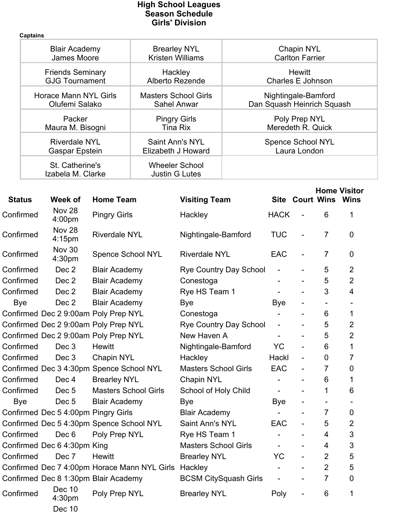## **High School Leagues Season Schedule Girls' Division**

**Captains Blair Academy James Moore Brearley NYL Kristen Williams Chapin NYL Carlton Farrier Friends Seminary GJG Tournament Hackley Alberto Rezende Hewitt Charles E Johnson Horace Mann NYL Girls Olufemi Salako Masters School Girls Sahel Anwar Nightingale-Bamford Dan Squash Heinrich Squash Packer Maura M. Bisogni Pingry Girls Tina Rix Poly Prep NYL Meredeth R. Quick Riverdale NYL Gaspar Epstein Saint Ann's NYL Elizabeth J Howard Spence School NYL Laura London St. Catherine's Izabela M. Clarke Wheeler School Justin G Lutes**

|               |                                     |                                                      |                               |                          |                          |                          | <b>Home Visitor</b> |
|---------------|-------------------------------------|------------------------------------------------------|-------------------------------|--------------------------|--------------------------|--------------------------|---------------------|
| <b>Status</b> | Week of                             | <b>Home Team</b>                                     | <b>Visiting Team</b>          |                          | <b>Site Court Wins</b>   |                          | <b>Wins</b>         |
| Confirmed     | Nov 28<br>4:00 <sub>pm</sub>        | <b>Pingry Girls</b>                                  | Hackley                       | <b>HACK</b>              |                          | 6                        | 1                   |
| Confirmed     | Nov 28<br>4:15pm                    | <b>Riverdale NYL</b>                                 | Nightingale-Bamford           | <b>TUC</b>               | $\overline{a}$           | $\overline{7}$           | 0                   |
| Confirmed     | <b>Nov 30</b><br>4:30pm             | <b>Spence School NYL</b>                             | <b>Riverdale NYL</b>          | <b>EAC</b>               | $\overline{\phantom{a}}$ | $\overline{7}$           | 0                   |
| Confirmed     | Dec 2                               | <b>Blair Academy</b>                                 | <b>Rye Country Day School</b> |                          |                          | 5                        | $\overline{2}$      |
| Confirmed     | Dec <sub>2</sub>                    | <b>Blair Academy</b>                                 | Conestoga                     |                          |                          | 5                        | $\overline{2}$      |
| Confirmed     | Dec 2                               | <b>Blair Academy</b>                                 | Rye HS Team 1                 |                          |                          | 3                        | 4                   |
| <b>Bye</b>    | Dec 2                               | <b>Blair Academy</b>                                 | Bye                           | <b>Bye</b>               | $\overline{\phantom{a}}$ | $\blacksquare$           |                     |
|               |                                     | Confirmed Dec 2 9:00am Poly Prep NYL                 | Conestoga                     |                          | $\overline{a}$           | 6                        | 1                   |
|               |                                     | Confirmed Dec 2 9:00am Poly Prep NYL                 | <b>Rye Country Day School</b> | $\blacksquare$           | $\overline{\phantom{a}}$ | 5                        | $\overline{2}$      |
|               |                                     | Confirmed Dec 2 9:00am Poly Prep NYL                 | New Haven A                   | $\overline{a}$           | $\overline{\phantom{0}}$ | 5                        | $\overline{2}$      |
| Confirmed     | Dec 3                               | <b>Hewitt</b>                                        | Nightingale-Bamford           | <b>YC</b>                | $\blacksquare$           | 6                        | 1                   |
| Confirmed     | Dec 3                               | <b>Chapin NYL</b>                                    | Hackley                       | Hackl                    | $\qquad \qquad -$        | $\Omega$                 | 7                   |
|               |                                     | Confirmed Dec 3 4:30pm Spence School NYL             | <b>Masters School Girls</b>   | <b>EAC</b>               | $\overline{\phantom{a}}$ | 7                        | 0                   |
| Confirmed     | Dec <sub>4</sub>                    | <b>Brearley NYL</b>                                  | <b>Chapin NYL</b>             | $\overline{\phantom{0}}$ | $\blacksquare$           | 6                        | 1                   |
| Confirmed     | Dec <sub>5</sub>                    | <b>Masters School Girls</b>                          | School of Holy Child          | $\overline{\phantom{a}}$ |                          | 1                        | 6                   |
| Bye           | Dec <sub>5</sub>                    | <b>Blair Academy</b>                                 | Bye                           | <b>Bye</b>               |                          | $\overline{\phantom{0}}$ |                     |
|               | Confirmed Dec 5 4:00pm Pingry Girls |                                                      | <b>Blair Academy</b>          | $\overline{a}$           |                          | $\overline{7}$           | 0                   |
|               |                                     | Confirmed Dec 5 4:30pm Spence School NYL             | Saint Ann's NYL               | <b>EAC</b>               | $\blacksquare$           | 5                        | 2                   |
| Confirmed     | Dec 6                               | Poly Prep NYL                                        | Rye HS Team 1                 |                          |                          | 4                        | 3                   |
|               | Confirmed Dec 6 4:30pm King         |                                                      | <b>Masters School Girls</b>   | $\qquad \qquad -$        | $\overline{\phantom{a}}$ | 4                        | 3                   |
| Confirmed     | Dec 7                               | <b>Hewitt</b>                                        | <b>Brearley NYL</b>           | <b>YC</b>                | $\overline{\phantom{0}}$ | $\overline{2}$           | 5                   |
|               |                                     | Confirmed Dec 7 4:00pm Horace Mann NYL Girls Hackley |                               | $\overline{\phantom{0}}$ | $\blacksquare$           | $\overline{2}$           | 5                   |
|               |                                     | Confirmed Dec 8 1:30pm Blair Academy                 | <b>BCSM CitySquash Girls</b>  |                          |                          | $\overline{7}$           | 0                   |
| Confirmed     | Dec 10<br>4:30pm                    | Poly Prep NYL                                        | <b>Brearley NYL</b>           | Poly                     | $\overline{\phantom{a}}$ | 6                        | 1                   |
|               | <b>Dec 10</b>                       |                                                      |                               |                          |                          |                          |                     |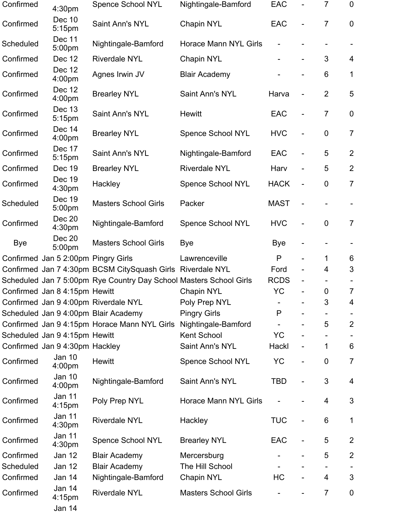| Confirmed  | 4:30pm                              | <b>Spence School NYL</b>                                           | Nightingale-Bamford          | EAC          |                          | 7              | $\mathbf 0$    |
|------------|-------------------------------------|--------------------------------------------------------------------|------------------------------|--------------|--------------------------|----------------|----------------|
| Confirmed  | Dec 10<br>5:15 <sub>pm</sub>        | Saint Ann's NYL                                                    | <b>Chapin NYL</b>            | <b>EAC</b>   |                          | $\overline{7}$ | $\mathbf 0$    |
| Scheduled  | Dec 11<br>5:00pm                    | Nightingale-Bamford                                                | <b>Horace Mann NYL Girls</b> |              |                          |                |                |
| Confirmed  | Dec 12                              | <b>Riverdale NYL</b>                                               | <b>Chapin NYL</b>            |              |                          | 3              | 4              |
| Confirmed  | <b>Dec 12</b><br>4:00pm             | Agnes Irwin JV                                                     | <b>Blair Academy</b>         |              |                          | 6              | $\mathbf 1$    |
| Confirmed  | Dec 12<br>4:00 <sub>pm</sub>        | <b>Brearley NYL</b>                                                | Saint Ann's NYL              | Harva        |                          | 2              | 5              |
| Confirmed  | Dec 13<br>5:15pm                    | Saint Ann's NYL                                                    | <b>Hewitt</b>                | EAC          |                          | $\overline{7}$ | $\mathbf 0$    |
| Confirmed  | Dec 14<br>4:00pm                    | <b>Brearley NYL</b>                                                | <b>Spence School NYL</b>     | <b>HVC</b>   |                          | $\pmb{0}$      | $\overline{7}$ |
| Confirmed  | Dec 17<br>5:15pm                    | Saint Ann's NYL                                                    | Nightingale-Bamford          | <b>EAC</b>   |                          | 5              | $\overline{2}$ |
| Confirmed  | Dec 19                              | <b>Brearley NYL</b>                                                | <b>Riverdale NYL</b>         | Harv         |                          | 5              | $\overline{2}$ |
| Confirmed  | Dec 19<br>4:30pm                    | Hackley                                                            | <b>Spence School NYL</b>     | <b>HACK</b>  | $\overline{\phantom{0}}$ | $\mathbf 0$    | $\overline{7}$ |
| Scheduled  | Dec 19<br>5:00pm                    | <b>Masters School Girls</b>                                        | Packer                       | <b>MAST</b>  |                          |                |                |
| Confirmed  | Dec 20<br>4:30 <sub>pm</sub>        | Nightingale-Bamford                                                | <b>Spence School NYL</b>     | <b>HVC</b>   |                          | $\mathbf 0$    | $\overline{7}$ |
| <b>Bye</b> | Dec 20<br>5:00pm                    | <b>Masters School Girls</b>                                        | <b>Bye</b>                   | Bye          |                          |                |                |
|            | Confirmed Jan 5 2:00pm Pingry Girls |                                                                    | Lawrenceville                | P            |                          | 1              | 6              |
|            |                                     | Confirmed Jan 7 4:30pm BCSM CitySquash Girls Riverdale NYL         |                              | Ford         |                          | 4              | $\mathfrak{S}$ |
|            |                                     | Scheduled Jan 7 5:00pm Rye Country Day School Masters School Girls |                              | <b>RCDS</b>  |                          |                |                |
|            | Confirmed Jan 8 4:15pm Hewitt       |                                                                    | <b>Chapin NYL</b>            | <b>YC</b>    |                          | 0              | 7              |
|            |                                     | Confirmed Jan 9 4:00pm Riverdale NYL                               | Poly Prep NYL                |              |                          | 3              | 4              |
|            |                                     | Scheduled Jan 9 4:00pm Blair Academy                               | <b>Pingry Girls</b>          | P            |                          |                |                |
|            |                                     | Confirmed Jan 9 4:15pm Horace Mann NYL Girls                       | Nightingale-Bamford          |              |                          | 5              | $\overline{2}$ |
|            | Scheduled Jan 9 4:15pm Hewitt       |                                                                    | Kent School                  | <b>YC</b>    |                          |                |                |
|            | Confirmed Jan 9 4:30pm Hackley      |                                                                    | Saint Ann's NYL              | <b>Hackl</b> |                          | 1              | $6\phantom{1}$ |
| Confirmed  | <b>Jan 10</b><br>4:00 <sub>pm</sub> | <b>Hewitt</b>                                                      | <b>Spence School NYL</b>     | <b>YC</b>    |                          | $\mathbf 0$    | $\overline{7}$ |
| Confirmed  | Jan 10<br>4:00pm                    | Nightingale-Bamford                                                | Saint Ann's NYL              | <b>TBD</b>   |                          | 3              | 4              |
| Confirmed  | Jan 11<br>4:15pm                    | Poly Prep NYL                                                      | <b>Horace Mann NYL Girls</b> |              |                          | 4              | 3              |
| Confirmed  | Jan 11<br>4:30pm                    | <b>Riverdale NYL</b>                                               | Hackley                      | <b>TUC</b>   | $\overline{\phantom{0}}$ | 6              | $\mathbf 1$    |
| Confirmed  | Jan 11<br>4:30 <sub>pm</sub>        | Spence School NYL                                                  | <b>Brearley NYL</b>          | <b>EAC</b>   |                          | 5              | $\overline{2}$ |
| Confirmed  | Jan 12                              | <b>Blair Academy</b>                                               | Mercersburg                  |              |                          | 5              | $\overline{2}$ |
| Scheduled  | <b>Jan 12</b>                       | <b>Blair Academy</b>                                               | The Hill School              |              |                          |                |                |
| Confirmed  | Jan 14                              | Nightingale-Bamford                                                | Chapin NYL                   | HC           |                          | 4              | 3              |
| Confirmed  | Jan 14<br>4:15pm<br>Jan 14          | <b>Riverdale NYL</b>                                               | <b>Masters School Girls</b>  |              |                          | $\overline{7}$ | $\mathbf 0$    |
|            |                                     |                                                                    |                              |              |                          |                |                |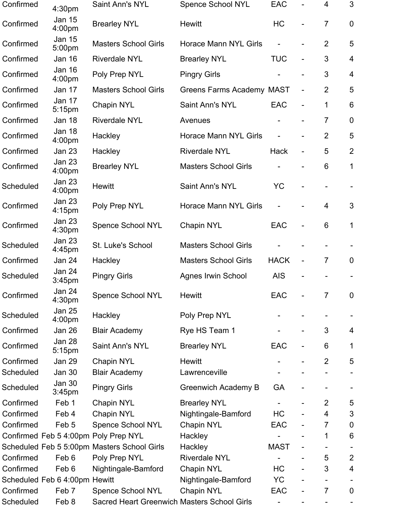| Confirmed | 4:30pm                              | Saint Ann's NYL                             | <b>Spence School NYL</b>         | <b>EAC</b>     |                              | 4              | 3                       |
|-----------|-------------------------------------|---------------------------------------------|----------------------------------|----------------|------------------------------|----------------|-------------------------|
| Confirmed | Jan 15<br>4:00 <sub>pm</sub>        | <b>Brearley NYL</b>                         | <b>Hewitt</b>                    | HC             |                              | $\overline{7}$ | $\mathbf 0$             |
| Confirmed | Jan 15<br>5:00pm                    | <b>Masters School Girls</b>                 | <b>Horace Mann NYL Girls</b>     |                |                              | $\overline{2}$ | 5                       |
| Confirmed | <b>Jan 16</b>                       | <b>Riverdale NYL</b>                        | <b>Brearley NYL</b>              | <b>TUC</b>     | $\overline{a}$               | 3              | $\overline{4}$          |
| Confirmed | <b>Jan 16</b><br>4:00 <sub>pm</sub> | Poly Prep NYL                               | <b>Pingry Girls</b>              |                |                              | 3              | $\overline{\mathbf{4}}$ |
| Confirmed | Jan 17                              | <b>Masters School Girls</b>                 | <b>Greens Farms Academy MAST</b> |                | $\overline{\phantom{0}}$     | $\overline{2}$ | 5                       |
| Confirmed | Jan 17<br>5:15pm                    | <b>Chapin NYL</b>                           | Saint Ann's NYL                  | <b>EAC</b>     | $\overline{a}$               | $\mathbf 1$    | $6\phantom{1}6$         |
| Confirmed | Jan 18                              | <b>Riverdale NYL</b>                        | Avenues                          |                | $\overline{\phantom{0}}$     | $\overline{7}$ | $\mathbf 0$             |
| Confirmed | <b>Jan 18</b><br>4:00pm             | Hackley                                     | <b>Horace Mann NYL Girls</b>     | $\overline{a}$ | $\overline{\phantom{0}}$     | $\overline{2}$ | 5                       |
| Confirmed | <b>Jan 23</b>                       | Hackley                                     | <b>Riverdale NYL</b>             | <b>Hack</b>    | $\overline{\phantom{0}}$     | 5              | $\overline{2}$          |
| Confirmed | <b>Jan 23</b><br>4:00pm             | <b>Brearley NYL</b>                         | <b>Masters School Girls</b>      |                | $\overline{\phantom{0}}$     | 6              | $\mathbf{1}$            |
| Scheduled | <b>Jan 23</b><br>4:00 <sub>pm</sub> | <b>Hewitt</b>                               | Saint Ann's NYL                  | <b>YC</b>      |                              |                |                         |
| Confirmed | <b>Jan 23</b><br>4:15pm             | Poly Prep NYL                               | Horace Mann NYL Girls            |                |                              | $\overline{4}$ | 3                       |
| Confirmed | <b>Jan 23</b><br>4:30 <sub>pm</sub> | <b>Spence School NYL</b>                    | Chapin NYL                       | <b>EAC</b>     |                              | 6              | $\mathbf 1$             |
| Scheduled | <b>Jan 23</b><br>4:45pm             | St. Luke's School                           | <b>Masters School Girls</b>      |                |                              |                |                         |
| Confirmed | <b>Jan 24</b>                       | Hackley                                     | <b>Masters School Girls</b>      | <b>HACK</b>    | $\overline{\phantom{a}}$     | $\overline{7}$ | $\overline{0}$          |
| Scheduled | <b>Jan 24</b><br>3:45 <sub>pm</sub> | <b>Pingry Girls</b>                         | <b>Agnes Irwin School</b>        | <b>AIS</b>     |                              |                |                         |
| Confirmed | <b>Jan 24</b><br>4:30pm             | Spence School NYL                           | <b>Hewitt</b>                    | EAC            |                              | 7              | $\mathbf 0$             |
| Scheduled | <b>Jan 25</b><br>4:00 <sub>pm</sub> | Hackley                                     | Poly Prep NYL                    |                |                              |                |                         |
| Confirmed | Jan 26                              | <b>Blair Academy</b>                        | Rye HS Team 1                    |                | $\qquad \qquad \blacksquare$ | 3              | 4                       |
| Confirmed | Jan 28<br>5:15pm                    | Saint Ann's NYL                             | <b>Brearley NYL</b>              | EAC            |                              | 6              | 1                       |
| Confirmed | <b>Jan 29</b>                       | <b>Chapin NYL</b>                           | <b>Hewitt</b>                    |                |                              | $\overline{2}$ | 5                       |
| Scheduled | <b>Jan 30</b>                       | <b>Blair Academy</b>                        | Lawrenceville                    |                |                              |                |                         |
| Scheduled | <b>Jan 30</b><br>3:45 <sub>pm</sub> | <b>Pingry Girls</b>                         | <b>Greenwich Academy B</b>       | GA             |                              |                |                         |
| Confirmed | Feb 1                               | Chapin NYL                                  | <b>Brearley NYL</b>              |                |                              | $\overline{2}$ | 5                       |
| Confirmed | Feb 4                               | Chapin NYL                                  | Nightingale-Bamford              | HC             |                              | 4              | 3                       |
| Confirmed | Feb <sub>5</sub>                    | <b>Spence School NYL</b>                    | Chapin NYL                       | EAC            |                              | 7              | $\boldsymbol{0}$        |
|           |                                     | Confirmed Feb 5 4:00pm Poly Prep NYL        | Hackley                          |                |                              | 1              | $6\phantom{1}6$         |
|           |                                     | Scheduled Feb 5 5:00pm Masters School Girls | Hackley                          | <b>MAST</b>    |                              |                |                         |
| Confirmed | Feb 6                               | Poly Prep NYL                               | <b>Riverdale NYL</b>             |                |                              | 5              | $\overline{2}$          |
| Confirmed | Feb 6                               | Nightingale-Bamford                         | <b>Chapin NYL</b>                | HC             |                              | 3              | 4                       |
|           | Scheduled Feb 6 4:00pm Hewitt       |                                             | Nightingale-Bamford              | <b>YC</b>      |                              |                |                         |
| Confirmed | Feb 7                               | <b>Spence School NYL</b>                    | Chapin NYL                       | EAC            | -                            | $\overline{7}$ | $\mathbf 0$             |
| Scheduled | Feb 8                               | Sacred Heart Greenwich Masters School Girls |                                  |                |                              |                |                         |